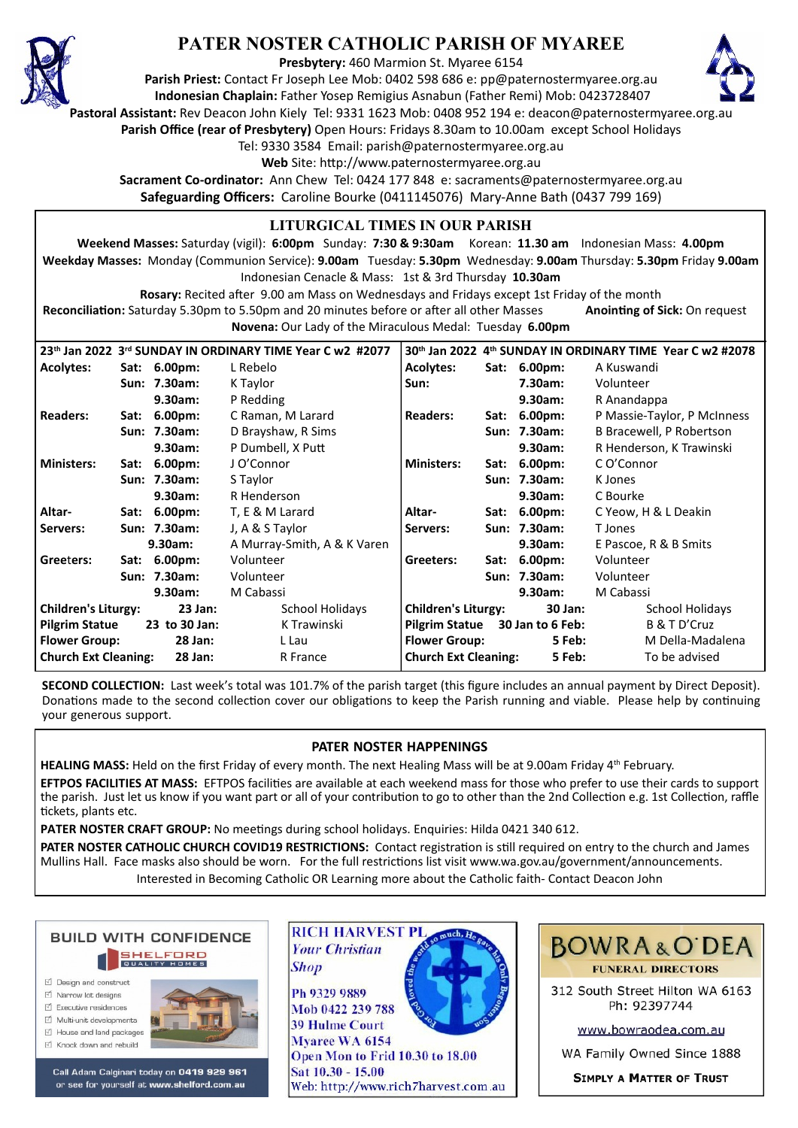

# **PATER NOSTER CATHOLIC PARISH OF MYAREE**

**Presbytery:** 460 Marmion St. Myaree 6154

**Parish Priest:** Contact Fr Joseph Lee Mob: 0402 598 686 e: pp@paternostermyaree.org.au **Indonesian Chaplain:** Father Yosep Remigius Asnabun (Father Remi) Mob: 0423728407



**Pastoral Assistant:** Rev Deacon John Kiely Tel: 9331 1623 Mob: 0408 952 194 e: deacon@paternostermyaree.org.au **Parish Office (rear of Presbytery)** Open Hours: Fridays 8.30am to 10.00am except School Holidays

Tel: 9330 3584 Email: parish@paternostermyaree.org.au

Web Site: http://www.paternostermyaree.org.au

**Sacrament Co-ordinator:** Ann Chew Tel: 0424 177 848 e: sacraments@paternostermyaree.org.au **Safeguarding Officers:** Caroline Bourke (0411145076) Mary-Anne Bath (0437 799 169)

## **LITURGICAL TIMES IN OUR PARISH**

**Weekend Masses:** Saturday (vigil): **6:00pm** Sunday: **7:30 & 9:30am** Korean: **11.30 am** Indonesian Mass: **4.00pm Weekday Masses:** Monday (Communion Service): **9.00am** Tuesday: **5.30pm** Wednesday: **9.00am** Thursday: **5.30pm** Friday **9.00am** Indonesian Cenacle & Mass: 1st & 3rd Thursday **10.30am**

**Rosary:** Recited a�er 9.00 am Mass on Wednesdays and Fridays except 1st Friday of the month Reconciliation: Saturday 5.30pm to 5.50pm and 20 minutes before or after all other Masses **Anointing of Sick:** On request **Novena:** Our Lady of the Miraculous Medal: Tuesday **6.00pm**

|                                        |  | 23th Jan 2022 3rd SUNDAY IN ORDINARY TIME Year C w2 #2077 | 30th Jan 2022 4th SUNDAY IN ORDINARY TIME Year C w2 #2078 |                             |      |                                 |                             |
|----------------------------------------|--|-----------------------------------------------------------|-----------------------------------------------------------|-----------------------------|------|---------------------------------|-----------------------------|
| <b>Acolytes:</b>                       |  | Sat: 6.00pm:                                              | L Rebelo                                                  | <b>Acolytes:</b>            |      | Sat: 6.00pm:                    | A Kuswandi                  |
|                                        |  | Sun: 7.30am:                                              | K Taylor                                                  | Sun:                        |      | 7.30am:                         | Volunteer                   |
|                                        |  | 9.30am:                                                   | P Redding                                                 |                             |      | 9.30am:                         | R Anandappa                 |
| <b>Readers:</b>                        |  | Sat: 6.00pm:                                              | C Raman, M Larard                                         | <b>Readers:</b>             |      | Sat: 6.00pm:                    | P Massie-Taylor, P McInness |
|                                        |  | Sun: 7.30am:                                              | D Brayshaw, R Sims                                        |                             |      | Sun: 7.30am:                    | B Bracewell, P Robertson    |
|                                        |  | 9.30am:                                                   | P Dumbell, X Putt                                         |                             |      | 9.30am:                         | R Henderson, K Trawinski    |
| <b>Ministers:</b>                      |  | Sat: 6.00pm:                                              | J O'Connor                                                | <b>Ministers:</b>           | Sat: | $6.00pm$ :                      | C O'Connor                  |
|                                        |  | Sun: 7.30am:                                              | S Taylor                                                  |                             |      | Sun: 7.30am:                    | K Jones                     |
|                                        |  | 9.30am:                                                   | R Henderson                                               |                             |      | 9.30am:                         | C Bourke                    |
| Altar-                                 |  | Sat: 6.00pm:                                              | T, E & M Larard                                           | Altar-                      |      | Sat: 6.00pm:                    | C Yeow, H & L Deakin        |
| Servers:                               |  | Sun: 7.30am:                                              | J, A & S Taylor                                           | Servers:                    |      | Sun: 7.30am:                    | T Jones                     |
|                                        |  | $9.30$ am:                                                | A Murray-Smith, A & K Varen                               |                             |      | 9.30am:                         | E Pascoe, R & B Smits       |
| Greeters:                              |  | Sat: 6.00pm:                                              | Volunteer                                                 | Greeters:                   |      | Sat: 6.00pm:                    | Volunteer                   |
|                                        |  | Sun: 7.30am:                                              | Volunteer                                                 |                             |      | Sun: 7.30am:                    | Volunteer                   |
|                                        |  | 9.30am:                                                   | M Cabassi                                                 |                             |      | 9.30am:                         | M Cabassi                   |
| <b>Children's Liturgy:</b><br>23 Jan:  |  |                                                           | School Holidays                                           | <b>Children's Liturgy:</b>  |      | 30 Jan:                         | School Holidays             |
| <b>Pilgrim Statue</b><br>23 to 30 Jan: |  |                                                           | K Trawinski                                               |                             |      | Pilgrim Statue 30 Jan to 6 Feb: | B & T D'Cruz                |
| <b>Flower Group:</b><br><b>28 Jan:</b> |  |                                                           | L Lau                                                     | <b>Flower Group:</b>        |      | 5 Feb:                          | M Della-Madalena            |
| <b>Church Ext Cleaning:</b><br>28 Jan: |  |                                                           | R France                                                  | <b>Church Ext Cleaning:</b> |      | 5 Feb:                          | To be advised               |
|                                        |  |                                                           |                                                           |                             |      |                                 |                             |

**SECOND COLLECTION:** Last week's total was 101.7% of the parish target (this figure includes an annual payment by Direct Deposit). Donations made to the second collection cover our obligations to keep the Parish running and viable. Please help by continuing your generous support.

# **PATER NOSTER HAPPENINGS**

**HEALING MASS:** Held on the first Friday of every month. The next Healing Mass will be at 9.00am Friday 4<sup>th</sup> February.

**EFTPOS FACILITIES AT MASS:** EFTPOS facili�es are available at each weekend mass for those who prefer to use their cards to support the parish. Just let us know if you want part or all of your contribution to go to other than the 2nd Collection e.g. 1st Collection, raffle tickets, plants etc.

PATER NOSTER CRAFT GROUP: No meetings during school holidays. Enquiries: Hilda 0421 340 612.

**Shop** 

PATER NOSTER CATHOLIC CHURCH COVID19 RESTRICTIONS: Contact registration is still required on entry to the church and James Mullins Hall. Face masks also should be worn. For the full restrictions list visit www.wa.gov.au/government/announcements. Interested in Becoming Catholic OR Learning more about the Catholic faith- Contact Deacon John



- $\triangledown$  Narrow lot designe
- $\triangledown$  Executive residences
- $\overrightarrow{2}$  Multi-unit developments
- M House and land packages



Call Adam Calginari today on 0419 929 961 or see for yourself at www.shelford.com.au



Mob 0422 239 788 **39 Hulme Court** Myaree WA 6154 Open Mon to Frid 10.30 to 18.00 Sat 10.30 - 15.00 Web: http://www.rich7harvest.com.au



**BOWRA&O'DEA FUNERAL DIRECTORS** 

312 South Street Hilton WA 6163 Ph: 92397744

www.bowraodea.com.au

WA Family Owned Since 1888

**SIMPLY A MATTER OF TRUST**